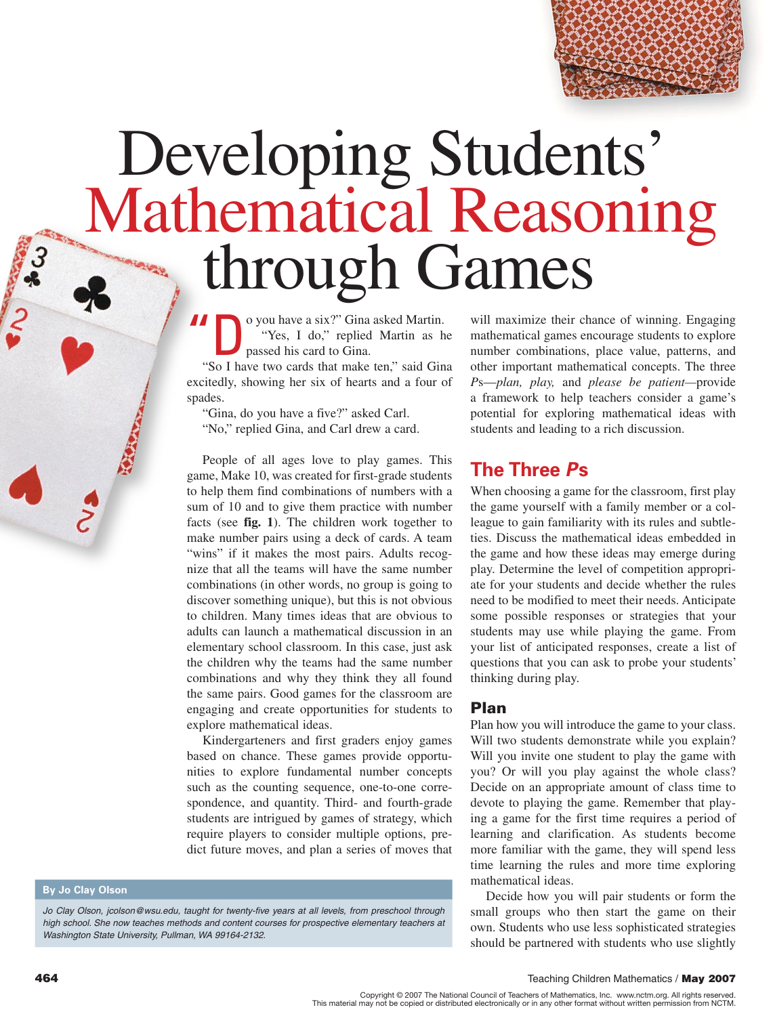

# Developing Students'<br>Mathematical Reasoning through Games

o you have a six?" Gina asked Martin. "Yes, I do," replied Martin as he passed his card to Gina.

"So I have two cards that make ten," said Gina excitedly, showing her six of hearts and a four of spades.

"Gina, do you have a five?" asked Carl.

"No," replied Gina, and Carl drew a card.

People of all ages love to play games. This game, Make 10, was created for first-grade students to help them find combinations of numbers with a sum of 10 and to give them practice with number facts (see  $fig. 1$ ). The children work together to make number pairs using a deck of cards. A team "wins" if it makes the most pairs. Adults recognize that all the teams will have the same number combinations (in other words, no group is going to discover something unique), but this is not obvious to children. Many times ideas that are obvious to adults can launch a mathematical discussion in an elementary school classroom. In this case, just ask the children why the teams had the same number combinations and why they think they all found the same pairs. Good games for the classroom are engaging and create opportunities for students to explore mathematical ideas.

Kindergarteners and first graders enjoy games based on chance. These games provide opportunities to explore fundamental number concepts such as the counting sequence, one-to-one correspondence, and quantity. Third- and fourth-grade students are intrigued by games of strategy, which require players to consider multiple options, predict future moves, and plan a series of moves that

**By Jo Clay Olson** 

Jo Clay Olson, jcolson@wsu.edu, taught for twenty-five years at all levels, from preschool through high school. She now teaches methods and content courses for prospective elementary teachers at Washington State University, Pullman, WA 99164-2132.

will maximize their chance of winning. Engaging mathematical games encourage students to explore number combinations, place value, patterns, and other important mathematical concepts. The three Ps—plan, play, and please be patient—provide a framework to help teachers consider a game's potential for exploring mathematical ideas with students and leading to a rich discussion.

# The Three Ps

When choosing a game for the classroom, first play the game yourself with a family member or a colleague to gain familiarity with its rules and subtleties. Discuss the mathematical ideas embedded in the game and how these ideas may emerge during play. Determine the level of competition appropriate for your students and decide whether the rules need to be modified to meet their needs. Anticipate some possible responses or strategies that your students may use while playing the game. From your list of anticipated responses, create a list of questions that you can ask to probe your students' thinking during play.

## **Plan**

Plan how you will introduce the game to your class. Will two students demonstrate while you explain? Will you invite one student to play the game with you? Or will you play against the whole class? Decide on an appropriate amount of class time to devote to playing the game. Remember that playing a game for the first time requires a period of learning and clarification. As students become more familiar with the game, they will spend less time learning the rules and more time exploring mathematical ideas.

Decide how you will pair students or form the small groups who then start the game on their own. Students who use less sophisticated strategies should be partnered with students who use slightly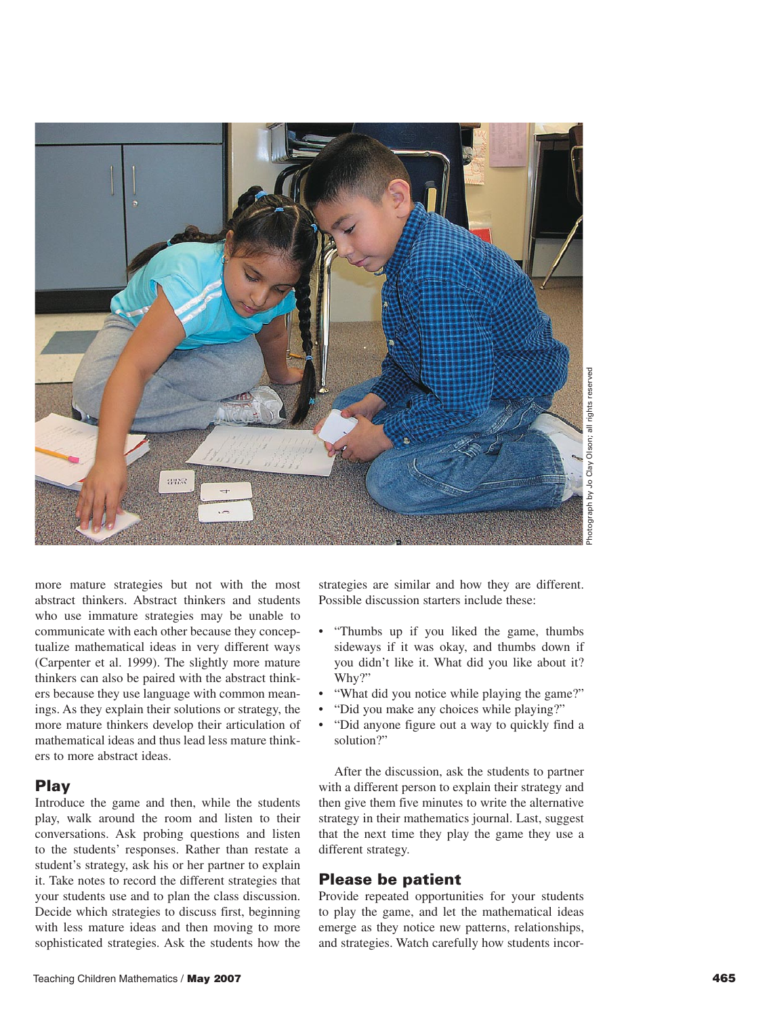

more mature strategies but not with the most abstract thinkers. Abstract thinkers and students who use immature strategies may be unable to communicate with each other because they conceptualize mathematical ideas in very different ways (Carpenter et al. 1999). The slightly more mature thinkers can also be paired with the abstract thinkers because they use language with common meanings. As they explain their solutions or strategy, the more mature thinkers develop their articulation of mathematical ideas and thus lead less mature thinkers to more abstract ideas.

#### Play

Introduce the game and then, while the students play, walk around the room and listen to their conversations. Ask probing questions and listen to the students' responses. Rather than restate a student's strategy, ask his or her partner to explain it. Take notes to record the different strategies that your students use and to plan the class discussion. Decide which strategies to discuss first, beginning with less mature ideas and then moving to more sophisticated strategies. Ask the students how the

strategies are similar and how they are different. Possible discussion starters include these:

- "Thumbs up if you liked the game, thumbs sideways if it was okay, and thumbs down if you didn't like it. What did you like about it? Why?"
- "What did you notice while playing the game?"
- "Did you make any choices while playing?"
- "Did anyone figure out a way to quickly find a solution?"

After the discussion, ask the students to partner with a different person to explain their strategy and then give them five minutes to write the alternative strategy in their mathematics journal. Last, suggest that the next time they play the game they use a different strategy.

# Please be patient

Provide repeated opportunities for your students to play the game, and let the mathematical ideas emerge as they notice new patterns, relationships, and strategies. Watch carefully how students incor-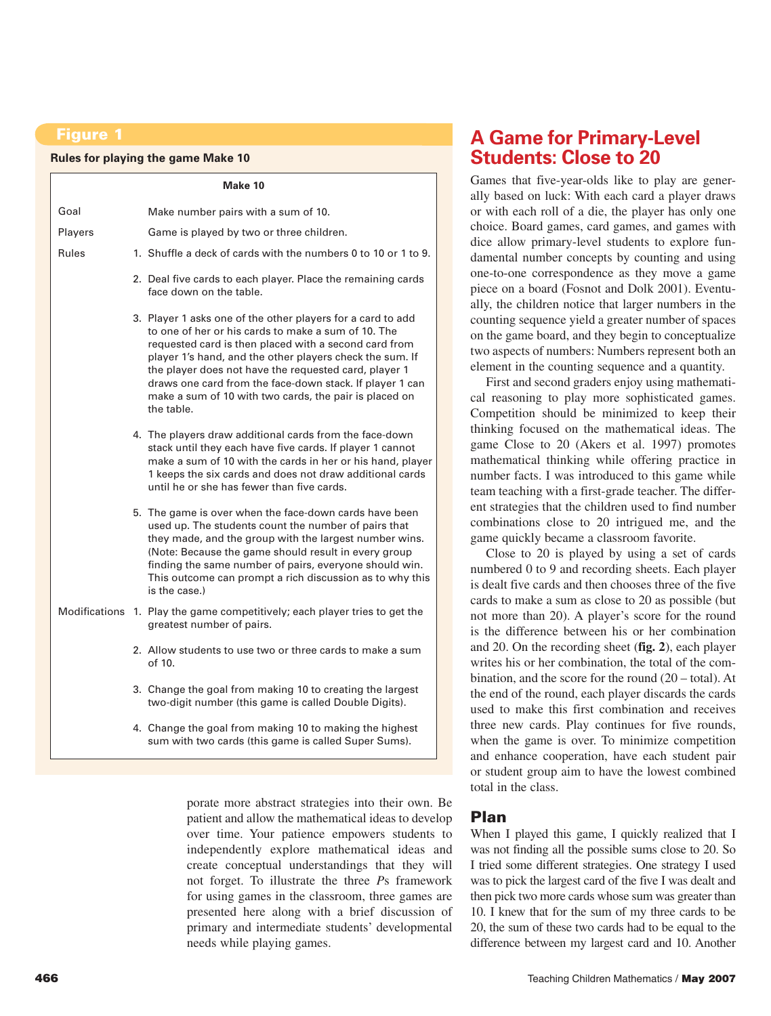#### Figure 1

#### **Rules for playing the game Make 10**

|               | Make 10                                                                                                                                                                                                                                                                                                                                                                                                                              |  |  |  |
|---------------|--------------------------------------------------------------------------------------------------------------------------------------------------------------------------------------------------------------------------------------------------------------------------------------------------------------------------------------------------------------------------------------------------------------------------------------|--|--|--|
| Goal          | Make number pairs with a sum of 10.                                                                                                                                                                                                                                                                                                                                                                                                  |  |  |  |
| Players       | Game is played by two or three children.                                                                                                                                                                                                                                                                                                                                                                                             |  |  |  |
| Rules         | 1. Shuffle a deck of cards with the numbers 0 to 10 or 1 to 9.                                                                                                                                                                                                                                                                                                                                                                       |  |  |  |
|               | 2. Deal five cards to each player. Place the remaining cards<br>face down on the table.                                                                                                                                                                                                                                                                                                                                              |  |  |  |
|               | 3. Player 1 asks one of the other players for a card to add<br>to one of her or his cards to make a sum of 10. The<br>requested card is then placed with a second card from<br>player 1's hand, and the other players check the sum. If<br>the player does not have the requested card, player 1<br>draws one card from the face-down stack. If player 1 can<br>make a sum of 10 with two cards, the pair is placed on<br>the table. |  |  |  |
|               | 4. The players draw additional cards from the face-down<br>stack until they each have five cards. If player 1 cannot<br>make a sum of 10 with the cards in her or his hand, player<br>1 keeps the six cards and does not draw additional cards<br>until he or she has fewer than five cards.                                                                                                                                         |  |  |  |
|               | 5. The game is over when the face-down cards have been<br>used up. The students count the number of pairs that<br>they made, and the group with the largest number wins.<br>(Note: Because the game should result in every group<br>finding the same number of pairs, everyone should win.<br>This outcome can prompt a rich discussion as to why this<br>is the case.)                                                              |  |  |  |
| Modifications | 1. Play the game competitively; each player tries to get the<br>greatest number of pairs.                                                                                                                                                                                                                                                                                                                                            |  |  |  |
|               | 2. Allow students to use two or three cards to make a sum<br>of 10.                                                                                                                                                                                                                                                                                                                                                                  |  |  |  |
|               | 3. Change the goal from making 10 to creating the largest<br>two-digit number (this game is called Double Digits).                                                                                                                                                                                                                                                                                                                   |  |  |  |
|               | 4. Change the goal from making 10 to making the highest<br>sum with two cards (this game is called Super Sums).                                                                                                                                                                                                                                                                                                                      |  |  |  |

porate more abstract strategies into their own. Be patient and allow the mathematical ideas to develop over time. Your patience empowers students to independently explore mathematical ideas and create conceptual understandings that they will not forget. To illustrate the three *P*s framework for using games in the classroom, three games are presented here along with a brief discussion of primary and intermediate students' developmental needs while playing games.

# **A Game for Primary-Level Students: Close to 20**

Games that five-year-olds like to play are generally based on luck: With each card a player draws or with each roll of a die, the player has only one choice. Board games, card games, and games with dice allow primary-level students to explore fundamental number concepts by counting and using one-to-one correspondence as they move a game piece on a board (Fosnot and Dolk 2001). Eventually, the children notice that larger numbers in the counting sequence yield a greater number of spaces on the game board, and they begin to conceptualize two aspects of numbers: Numbers represent both an element in the counting sequence and a quantity.

First and second graders enjoy using mathematical reasoning to play more sophisticated games. Competition should be minimized to keep their thinking focused on the mathematical ideas. The game Close to 20 (Akers et al. 1997) promotes mathematical thinking while offering practice in number facts. I was introduced to this game while team teaching with a first-grade teacher. The different strategies that the children used to find number combinations close to 20 intrigued me, and the game quickly became a classroom favorite.

Close to 20 is played by using a set of cards numbered 0 to 9 and recording sheets. Each player is dealt five cards and then chooses three of the five cards to make a sum as close to 20 as possible (but not more than 20). A player's score for the round is the difference between his or her combination and 20. On the recording sheet (**fig. 2**), each player writes his or her combination, the total of the combination, and the score for the round (20 – total). At the end of the round, each player discards the cards used to make this first combination and receives three new cards. Play continues for five rounds, when the game is over. To minimize competition and enhance cooperation, have each student pair or student group aim to have the lowest combined total in the class.

# Plan

When I played this game, I quickly realized that I was not finding all the possible sums close to 20. So I tried some different strategies. One strategy I used was to pick the largest card of the five I was dealt and then pick two more cards whose sum was greater than 10. I knew that for the sum of my three cards to be 20, the sum of these two cards had to be equal to the difference between my largest card and 10. Another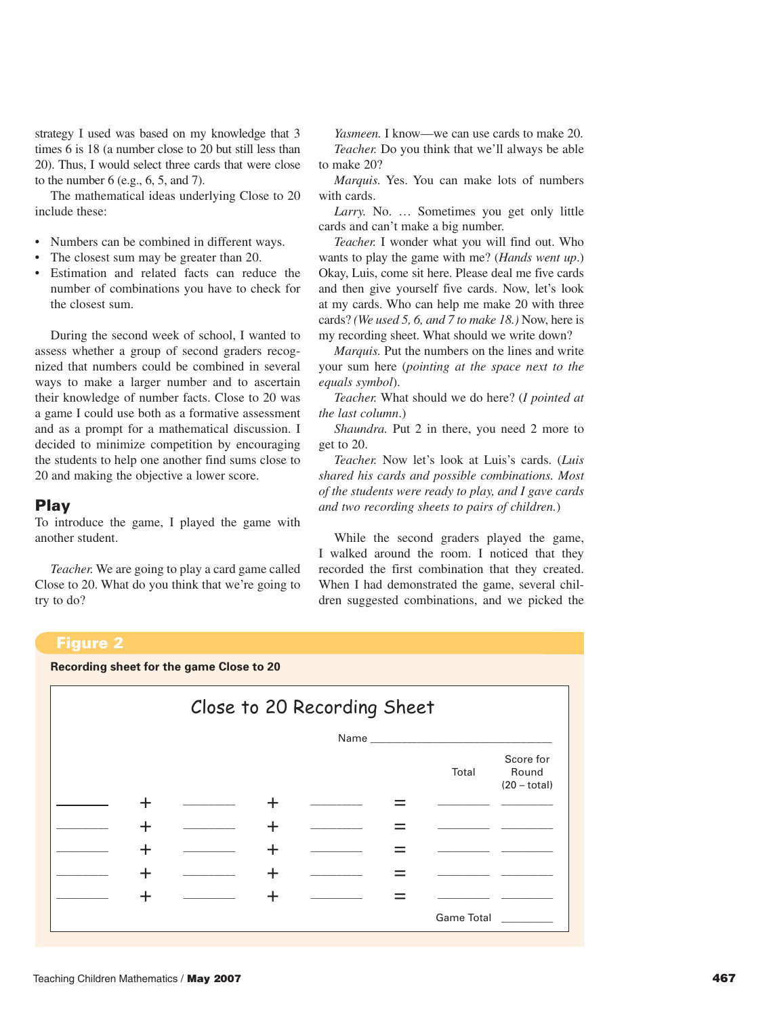strategy I used was based on my knowledge that 3 times 6 is 18 (a number close to 20 but still less than 20). Thus, I would select three cards that were close to the number 6 (e.g., 6, 5, and 7).

The mathematical ideas underlying Close to 20 include these:

- Numbers can be combined in different ways.
- The closest sum may be greater than 20.
- Estimation and related facts can reduce the number of combinations you have to check for the closest sum.

During the second week of school, I wanted to assess whether a group of second graders recognized that numbers could be combined in several ways to make a larger number and to ascertain their knowledge of number facts. Close to 20 was a game I could use both as a formative assessment and as a prompt for a mathematical discussion. I decided to minimize competition by encouraging the students to help one another find sums close to 20 and making the objective a lower score.

#### Play

To introduce the game, I played the game with another student.

*Teacher.* We are going to play a card game called Close to 20. What do you think that we're going to try to do?

*Yasmeen.* I know—we can use cards to make 20. *Teacher.* Do you think that we'll always be able to make 20?

*Marquis.* Yes. You can make lots of numbers with cards.

*Larry.* No. … Sometimes you get only little cards and can't make a big number.

*Teacher.* I wonder what you will find out. Who wants to play the game with me? (*Hands went up*.) Okay, Luis, come sit here. Please deal me five cards and then give yourself five cards. Now, let's look at my cards. Who can help me make 20 with three cards? *(We used 5, 6, and 7 to make 18.)* Now, here is my recording sheet. What should we write down?

*Marquis.* Put the numbers on the lines and write your sum here (*pointing at the space next to the equals symbol*).

*Teacher.* What should we do here? (*I pointed at the last column*.)

*Shaundra.* Put 2 in there, you need 2 more to get to 20.

*Teacher.* Now let's look at Luis's cards. (*Luis shared his cards and possible combinations. Most of the students were ready to play, and I gave cards and two recording sheets to pairs of children.*)

While the second graders played the game, I walked around the room. I noticed that they recorded the first combination that they created. When I had demonstrated the game, several children suggested combinations, and we picked the

#### Figure 2

#### **Recording sheet for the game Close to 20**

| Close to 20 Recording Sheet |      |  |   |  |  |                   |                                      |
|-----------------------------|------|--|---|--|--|-------------------|--------------------------------------|
|                             | Name |  |   |  |  |                   |                                      |
|                             |      |  |   |  |  | Total             | Score for<br>Round<br>$(20 - total)$ |
|                             |      |  |   |  |  |                   |                                      |
|                             |      |  |   |  |  |                   |                                      |
|                             |      |  | ┿ |  |  |                   |                                      |
|                             |      |  |   |  |  |                   |                                      |
|                             |      |  | ┿ |  |  |                   |                                      |
|                             |      |  |   |  |  | <b>Game Total</b> |                                      |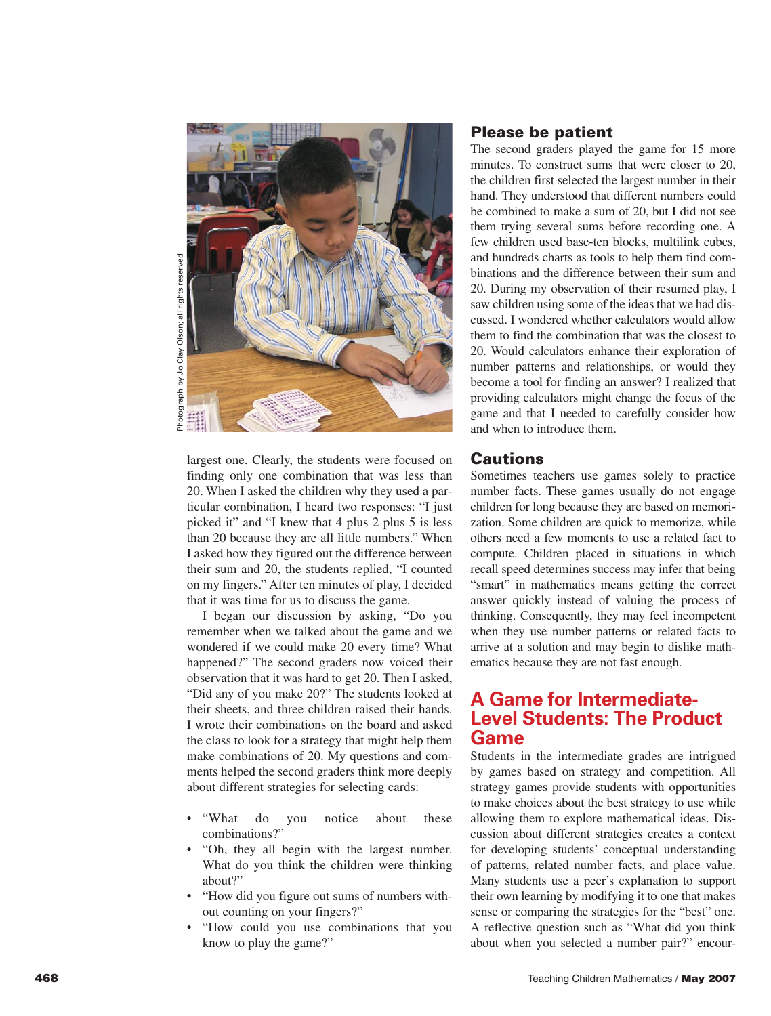

largest one. Clearly, the students were focused on finding only one combination that was less than 20. When I asked the children why they used a particular combination, I heard two responses: "I just picked it" and "I knew that 4 plus 2 plus 5 is less than 20 because they are all little numbers." When I asked how they figured out the difference between their sum and 20, the students replied, "I counted on my fingers." After ten minutes of play, I decided that it was time for us to discuss the game.

I began our discussion by asking, "Do you remember when we talked about the game and we wondered if we could make 20 every time? What happened?" The second graders now voiced their observation that it was hard to get 20. Then I asked, "Did any of you make 20?" The students looked at their sheets, and three children raised their hands. I wrote their combinations on the board and asked the class to look for a strategy that might help them make combinations of 20. My questions and comments helped the second graders think more deeply about different strategies for selecting cards:

- "What do you notice about these combinations?"
- "Oh, they all begin with the largest number. What do you think the children were thinking about?"
- "How did you figure out sums of numbers without counting on your fingers?"
- "How could you use combinations that you know to play the game?"

# Please be patient

The second graders played the game for 15 more minutes. To construct sums that were closer to 20, the children first selected the largest number in their hand. They understood that different numbers could be combined to make a sum of 20, but I did not see them trying several sums before recording one. A few children used base-ten blocks, multilink cubes, and hundreds charts as tools to help them find combinations and the difference between their sum and 20. During my observation of their resumed play, I saw children using some of the ideas that we had discussed. I wondered whether calculators would allow them to find the combination that was the closest to 20. Would calculators enhance their exploration of number patterns and relationships, or would they become a tool for finding an answer? I realized that providing calculators might change the focus of the game and that I needed to carefully consider how and when to introduce them.

## **Cautions**

Sometimes teachers use games solely to practice number facts. These games usually do not engage children for long because they are based on memorization. Some children are quick to memorize, while others need a few moments to use a related fact to compute. Children placed in situations in which recall speed determines success may infer that being "smart" in mathematics means getting the correct answer quickly instead of valuing the process of thinking. Consequently, they may feel incompetent when they use number patterns or related facts to arrive at a solution and may begin to dislike mathematics because they are not fast enough.

# **A Game for Intermediate-Level Students: The Product Game**

Students in the intermediate grades are intrigued by games based on strategy and competition. All strategy games provide students with opportunities to make choices about the best strategy to use while allowing them to explore mathematical ideas. Discussion about different strategies creates a context for developing students' conceptual understanding of patterns, related number facts, and place value. Many students use a peer's explanation to support their own learning by modifying it to one that makes sense or comparing the strategies for the "best" one. A reflective question such as "What did you think about when you selected a number pair?" encour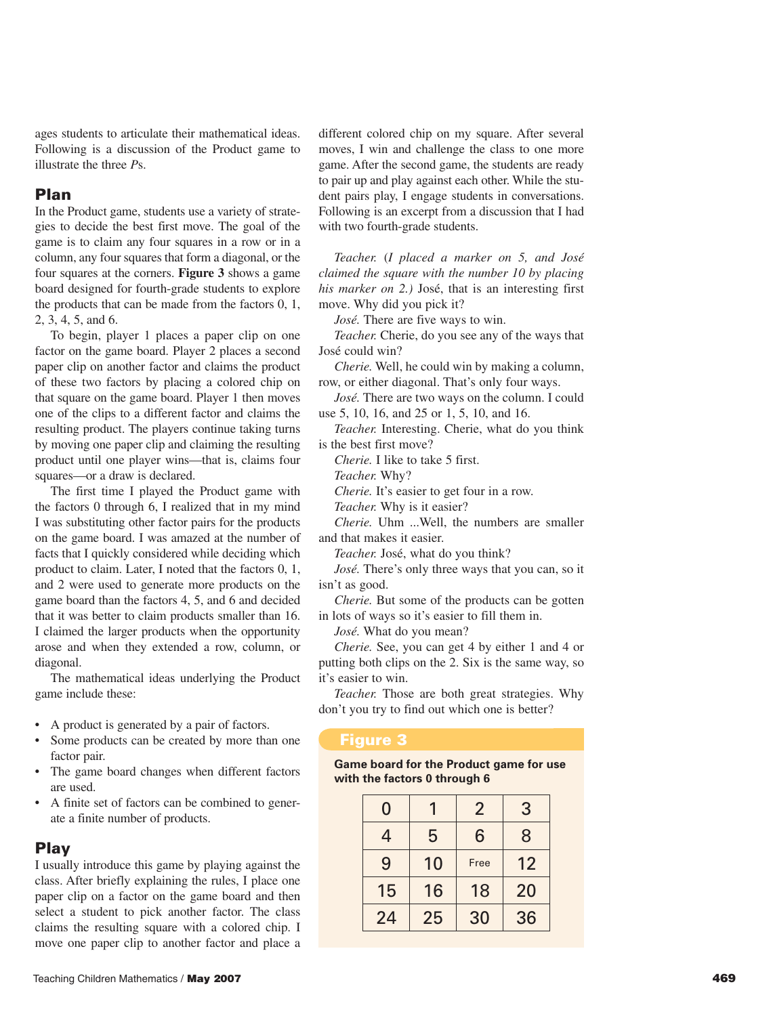ages students to articulate their mathematical ideas. Following is a discussion of the Product game to illustrate the three *P*s.

#### Plan

In the Product game, students use a variety of strategies to decide the best first move. The goal of the game is to claim any four squares in a row or in a column, any four squares that form a diagonal, or the four squares at the corners. **Figure 3** shows a game board designed for fourth-grade students to explore the products that can be made from the factors 0, 1, 2, 3, 4, 5, and 6.

To begin, player 1 places a paper clip on one factor on the game board. Player 2 places a second paper clip on another factor and claims the product of these two factors by placing a colored chip on that square on the game board. Player 1 then moves one of the clips to a different factor and claims the resulting product. The players continue taking turns by moving one paper clip and claiming the resulting product until one player wins—that is, claims four squares—or a draw is declared.

The first time I played the Product game with the factors 0 through 6, I realized that in my mind I was substituting other factor pairs for the products on the game board. I was amazed at the number of facts that I quickly considered while deciding which product to claim. Later, I noted that the factors 0, 1, and 2 were used to generate more products on the game board than the factors 4, 5, and 6 and decided that it was better to claim products smaller than 16. I claimed the larger products when the opportunity arose and when they extended a row, column, or diagonal.

The mathematical ideas underlying the Product game include these:

- A product is generated by a pair of factors.
- Some products can be created by more than one factor pair.
- The game board changes when different factors are used.
- A finite set of factors can be combined to generate a finite number of products.

## Play

I usually introduce this game by playing against the class. After briefly explaining the rules, I place one paper clip on a factor on the game board and then select a student to pick another factor. The class claims the resulting square with a colored chip. I move one paper clip to another factor and place a different colored chip on my square. After several moves, I win and challenge the class to one more game. After the second game, the students are ready to pair up and play against each other. While the student pairs play, I engage students in conversations. Following is an excerpt from a discussion that I had with two fourth-grade students.

*Teacher.* (*I placed a marker on 5, and José claimed the square with the number 10 by placing his marker on 2.)* José, that is an interesting first move. Why did you pick it?

*José.* There are five ways to win.

*Teacher.* Cherie, do you see any of the ways that José could win?

*Cherie.* Well, he could win by making a column, row, or either diagonal. That's only four ways.

*José.* There are two ways on the column. I could use 5, 10, 16, and 25 or 1, 5, 10, and 16.

*Teacher.* Interesting. Cherie, what do you think is the best first move?

*Cherie.* I like to take 5 first.

*Teacher.* Why?

*Cherie.* It's easier to get four in a row.

*Teacher.* Why is it easier?

*Cherie.* Uhm ...Well, the numbers are smaller and that makes it easier.

*Teacher.* José, what do you think?

*José.* There's only three ways that you can, so it isn't as good.

*Cherie.* But some of the products can be gotten in lots of ways so it's easier to fill them in.

*José.* What do you mean?

*Cherie.* See, you can get 4 by either 1 and 4 or putting both clips on the 2. Six is the same way, so it's easier to win.

*Teacher.* Those are both great strategies. Why don't you try to find out which one is better?

#### Figure 3

**Game board for the Product game for use with the factors 0 through 6**

| 0  |    | $\overline{2}$ | 3  |
|----|----|----------------|----|
| 4  | 5  | 6              | 8  |
| 9  | 10 | Free           | 12 |
| 15 | 16 | 18             | 20 |
| 24 | 25 | 30             | 36 |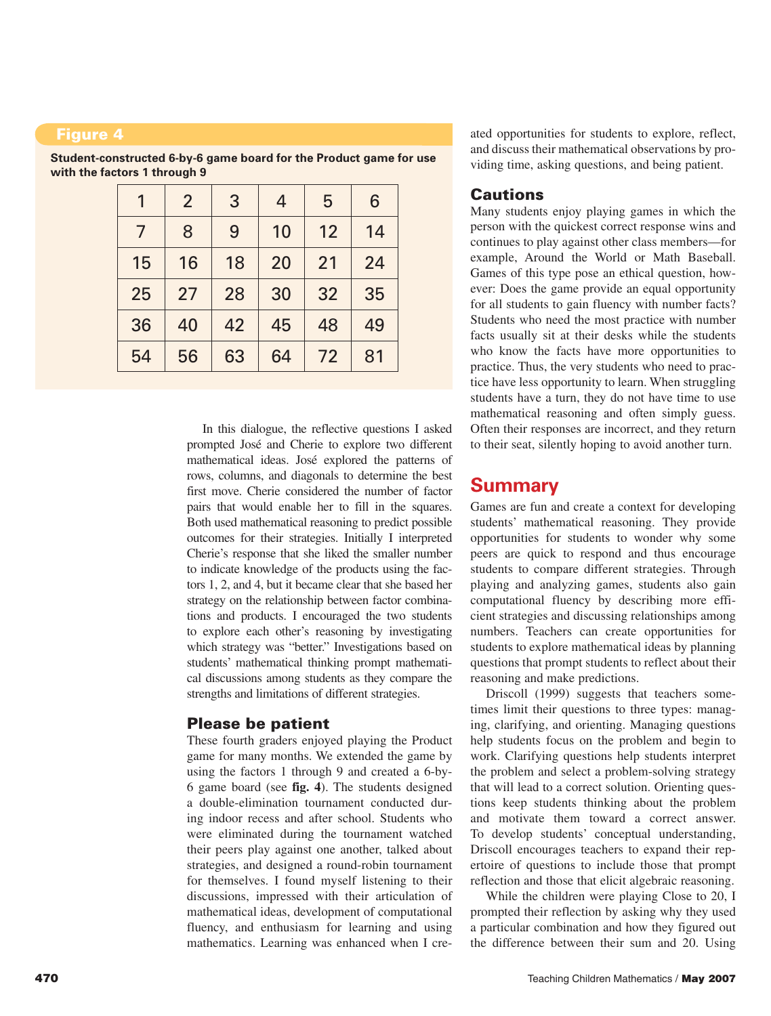#### Figure 4

| 1  | $\overline{2}$ | 3  | $\overline{4}$ | 5  | 6  |
|----|----------------|----|----------------|----|----|
| 7  | 8              | 9  | 10             | 12 | 14 |
| 15 | 16             | 18 | 20             | 21 | 24 |
| 25 | 27             | 28 | 30             | 32 | 35 |
| 36 | 40             | 42 | 45             | 48 | 49 |
| 54 | 56             | 63 | 64             | 72 | 81 |

**Student-constructed 6-by-6 game board for the Product game for use with the factors 1 through 9**

> In this dialogue, the reflective questions I asked prompted José and Cherie to explore two different mathematical ideas. José explored the patterns of rows, columns, and diagonals to determine the best first move. Cherie considered the number of factor pairs that would enable her to fill in the squares. Both used mathematical reasoning to predict possible outcomes for their strategies. Initially I interpreted Cherie's response that she liked the smaller number to indicate knowledge of the products using the factors 1, 2, and 4, but it became clear that she based her strategy on the relationship between factor combinations and products. I encouraged the two students to explore each other's reasoning by investigating which strategy was "better." Investigations based on students' mathematical thinking prompt mathematical discussions among students as they compare the strengths and limitations of different strategies.

## Please be patient

These fourth graders enjoyed playing the Product game for many months. We extended the game by using the factors 1 through 9 and created a 6-by-6 game board (see **fig. 4**). The students designed a double-elimination tournament conducted during indoor recess and after school. Students who were eliminated during the tournament watched their peers play against one another, talked about strategies, and designed a round-robin tournament for themselves. I found myself listening to their discussions, impressed with their articulation of mathematical ideas, development of computational fluency, and enthusiasm for learning and using mathematics. Learning was enhanced when I created opportunities for students to explore, reflect, and discuss their mathematical observations by providing time, asking questions, and being patient.

## **Cautions**

Many students enjoy playing games in which the person with the quickest correct response wins and continues to play against other class members—for example, Around the World or Math Baseball. Games of this type pose an ethical question, however: Does the game provide an equal opportunity for all students to gain fluency with number facts? Students who need the most practice with number facts usually sit at their desks while the students who know the facts have more opportunities to practice. Thus, the very students who need to practice have less opportunity to learn. When struggling students have a turn, they do not have time to use mathematical reasoning and often simply guess. Often their responses are incorrect, and they return to their seat, silently hoping to avoid another turn.

# **Summary**

Games are fun and create a context for developing students' mathematical reasoning. They provide opportunities for students to wonder why some peers are quick to respond and thus encourage students to compare different strategies. Through playing and analyzing games, students also gain computational fluency by describing more efficient strategies and discussing relationships among numbers. Teachers can create opportunities for students to explore mathematical ideas by planning questions that prompt students to reflect about their reasoning and make predictions.

Driscoll (1999) suggests that teachers sometimes limit their questions to three types: managing, clarifying, and orienting. Managing questions help students focus on the problem and begin to work. Clarifying questions help students interpret the problem and select a problem-solving strategy that will lead to a correct solution. Orienting questions keep students thinking about the problem and motivate them toward a correct answer. To develop students' conceptual understanding, Driscoll encourages teachers to expand their repertoire of questions to include those that prompt reflection and those that elicit algebraic reasoning.

While the children were playing Close to 20, I prompted their reflection by asking why they used a particular combination and how they figured out the difference between their sum and 20. Using